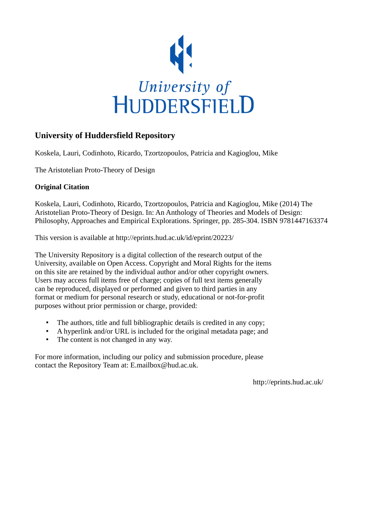

# **University of Huddersfield Repository**

Koskela, Lauri, Codinhoto, Ricardo, Tzortzopoulos, Patricia and Kagioglou, Mike

The Aristotelian Proto-Theory of Design

# **Original Citation**

Koskela, Lauri, Codinhoto, Ricardo, Tzortzopoulos, Patricia and Kagioglou, Mike (2014) The Aristotelian Proto-Theory of Design. In: An Anthology of Theories and Models of Design: Philosophy, Approaches and Empirical Explorations. Springer, pp. 285-304. ISBN 9781447163374

This version is available at http://eprints.hud.ac.uk/id/eprint/20223/

The University Repository is a digital collection of the research output of the University, available on Open Access. Copyright and Moral Rights for the items on this site are retained by the individual author and/or other copyright owners. Users may access full items free of charge; copies of full text items generally can be reproduced, displayed or performed and given to third parties in any format or medium for personal research or study, educational or not-for-profit purposes without prior permission or charge, provided:

- The authors, title and full bibliographic details is credited in any copy;
- A hyperlink and/or URL is included for the original metadata page; and
- The content is not changed in any way.

For more information, including our policy and submission procedure, please contact the Repository Team at: E.mailbox@hud.ac.uk.

http://eprints.hud.ac.uk/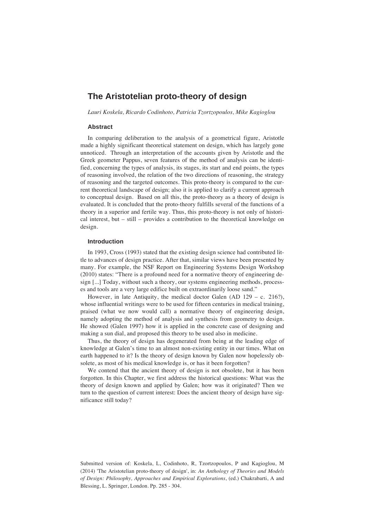# **The Aristotelian proto-theory of design**

*Lauri Koskela, Ricardo Codinhoto, Patricia Tzortzopoulos, Mike Kagioglou* 

### **Abstract**

In comparing deliberation to the analysis of a geometrical figure, Aristotle made a highly significant theoretical statement on design, which has largely gone unnoticed. Through an interpretation of the accounts given by Aristotle and the Greek geometer Pappus, seven features of the method of analysis can be identified, concerning the types of analysis, its stages, its start and end points, the types of reasoning involved, the relation of the two directions of reasoning, the strategy of reasoning and the targeted outcomes. This proto-theory is compared to the current theoretical landscape of design; also it is applied to clarify a current approach to conceptual design. Based on all this, the proto-theory as a theory of design is evaluated. It is concluded that the proto-theory fulfills several of the functions of a theory in a superior and fertile way. Thus, this proto-theory is not only of historical interest, but – still – provides a contribution to the theoretical knowledge on design.

### **Introduction**

In 1993, Cross (1993) stated that the existing design science had contributed little to advances of design practice. After that, similar views have been presented by many. For example, the NSF Report on Engineering Systems Design Workshop (2010) states: "There is a profound need for a normative theory of engineering design [...] Today, without such a theory, our systems engineering methods, processes and tools are a very large edifice built on extraordinarily loose sand."

However, in late Antiquity, the medical doctor Galen (AD 129 – c. 216?), whose influential writings were to be used for fifteen centuries in medical training, praised (what we now would call) a normative theory of engineering design, namely adopting the method of analysis and synthesis from geometry to design. He showed (Galen 1997) how it is applied in the concrete case of designing and making a sun dial, and proposed this theory to be used also in medicine.

Thus, the theory of design has degenerated from being at the leading edge of knowledge at Galen's time to an almost non-existing entity in our times. What on earth happened to it? Is the theory of design known by Galen now hopelessly obsolete, as most of his medical knowledge is, or has it been forgotten?

We contend that the ancient theory of design is not obsolete, but it has been forgotten. In this Chapter, we first address the historical questions: What was the theory of design known and applied by Galen; how was it originated? Then we turn to the question of current interest: Does the ancient theory of design have significance still today?

Submitted version of: Koskela, L, Codinhoto, R, Tzortzopoulos, P and Kagioglou, M (2014) 'The Aristotelian proto-theory of design', in: *An Anthology of Theories and Models of Design: Philosophy, Approaches and Empirical Explorations*, (ed.) Chakrabarti, A and Blessing, L. Springer, London. Pp. 285 - 304.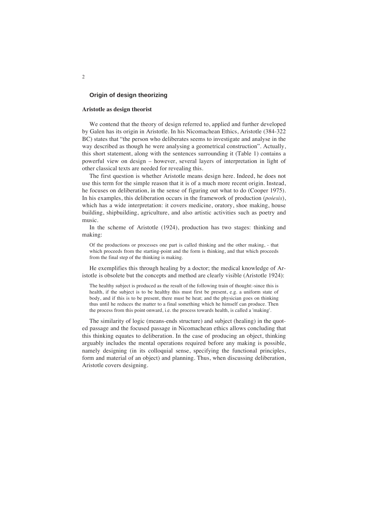### **Origin of design theorizing**

#### **Aristotle as design theorist**

We contend that the theory of design referred to, applied and further developed by Galen has its origin in Aristotle. In his Nicomachean Ethics, Aristotle (384-322 BC) states that "the person who deliberates seems to investigate and analyse in the way described as though he were analysing a geometrical construction". Actually, this short statement, along with the sentences surrounding it (Table 1) contains a powerful view on design – however, several layers of interpretation in light of other classical texts are needed for revealing this.

The first question is whether Aristotle means design here. Indeed, he does not use this term for the simple reason that it is of a much more recent origin. Instead, he focuses on deliberation, in the sense of figuring out what to do (Cooper 1975). In his examples, this deliberation occurs in the framework of production (*poiesis*), which has a wide interpretation: it covers medicine, oratory, shoe making, house building, shipbuilding, agriculture, and also artistic activities such as poetry and music.

In the scheme of Aristotle (1924), production has two stages: thinking and making:

Of the productions or processes one part is called thinking and the other making, - that which proceeds from the starting-point and the form is thinking, and that which proceeds from the final step of the thinking is making.

He exemplifies this through healing by a doctor; the medical knowledge of Aristotle is obsolete but the concepts and method are clearly visible (Aristotle 1924):

The healthy subject is produced as the result of the following train of thought:-since this is health, if the subject is to be healthy this must first be present, e.g. a uniform state of body, and if this is to be present, there must be heat; and the physician goes on thinking thus until he reduces the matter to a final something which he himself can produce. Then the process from this point onward, i.e. the process towards health, is called a 'making'.

The similarity of logic (means-ends structure) and subject (healing) in the quoted passage and the focused passage in Nicomachean ethics allows concluding that this thinking equates to deliberation. In the case of producing an object, thinking arguably includes the mental operations required before any making is possible, namely designing (in its colloquial sense, specifying the functional principles, form and material of an object) and planning. Thus, when discussing deliberation, Aristotle covers designing.

 $\overline{2}$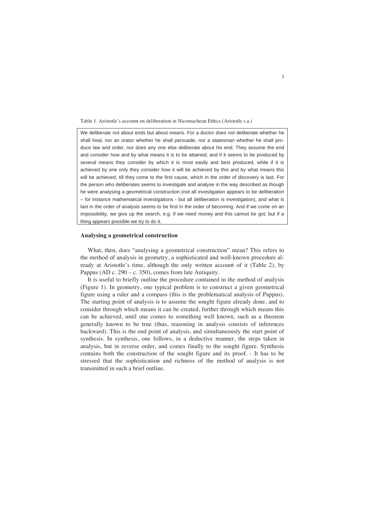Table 1. Aristotle's account on deliberation in Nicomachean Ethics (Aristotle s.a.)

We deliberate not about ends but about means. For a doctor does not deliberate whether he shall heal, nor an orator whether he shall persuade, nor a statesman whether he shall produce law and order, nor does any one else deliberate about his end. They assume the end and consider how and by what means it is to be attained; and if it seems to be produced by several means they consider by which it is most easily and best produced, while if it is achieved by one only they consider how it will be achieved by this and by what means this will be achieved, till they come to the first cause, which in the order of discovery is last. For the person who deliberates seems to investigate and analyse in the way described as though he were analysing a geometrical construction (not all investigation appears to be deliberation – for instance mathematical investigations - but all deliberation is investigation), and what is last in the order of analysis seems to be first in the order of becoming. And if we come on an impossibility, we give up the search, e.g. if we need money and this cannot be got; but if a thing appears possible we try to do it.

#### **Analysing a geometrical construction**

What, then, does "analysing a geometrical construction" mean? This refers to the method of analysis in geometry, a sophisticated and well-known procedure already at Aristotle's time, although the only written account of it (Table 2), by Pappus (AD c.  $290 - c. 350$ ), comes from late Antiquity.

It is useful to briefly outline the procedure contained in the method of analysis (Figure 1). In geometry, one typical problem is to construct a given geometrical figure using a ruler and a compass (this is the problematical analysis of Pappus). The starting point of analysis is to assume the sought figure already done, and to consider through which means it can be created, further through which means this can be achieved, until one comes to something well known, such as a theorem generally known to be true (thus, reasoning in analysis consists of inferences backward). This is the end point of analysis, and simultaneously the start point of synthesis. In synthesis, one follows, in a deductive manner, the steps taken in analysis, but in reverse order, and comes finally to the sought figure. Synthesis contains both the construction of the sought figure and its proof. - It has to be stressed that the sophistication and richness of the method of analysis is not transmitted in such a brief outline.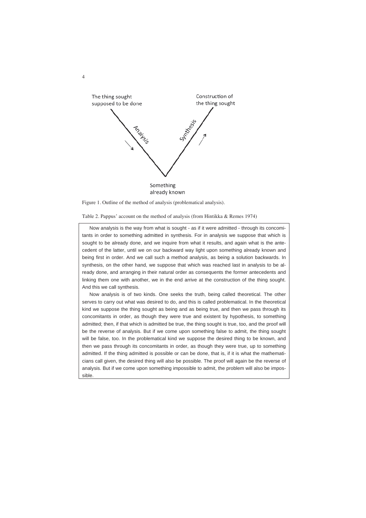

Figure 1. Outline of the method of analysis (problematical analysis).

Table 2. Pappus' account on the method of analysis (from Hintikka & Remes 1974)

Now analysis is the way from what is sought - as if it were admitted - through its concomitants in order to something admitted in synthesis. For in analysis we suppose that which is sought to be already done, and we inquire from what it results, and again what is the antecedent of the latter, until we on our backward way light upon something already known and being first in order. And we call such a method analysis, as being a solution backwards. In synthesis, on the other hand, we suppose that which was reached last in analysis to be already done, and arranging in their natural order as consequents the former antecedents and linking them one with another, we in the end arrive at the construction of the thing sought. And this we call synthesis.

Now analysis is of two kinds. One seeks the truth, being called theoretical. The other serves to carry out what was desired to do, and this is called problematical. In the theoretical kind we suppose the thing sought as being and as being true, and then we pass through its concomitants in order, as though they were true and existent by hypothesis, to something admitted; then, if that which is admitted be true, the thing sought is true, too, and the proof will be the reverse of analysis. But if we come upon something false to admit, the thing sought will be false, too. In the problematical kind we suppose the desired thing to be known, and then we pass through its concomitants in order, as though they were true, up to something admitted. If the thing admitted is possible or can be done, that is, if it is what the mathematicians call given, the desired thing will also be possible. The proof will again be the reverse of analysis. But if we come upon something impossible to admit, the problem will also be impossible.

4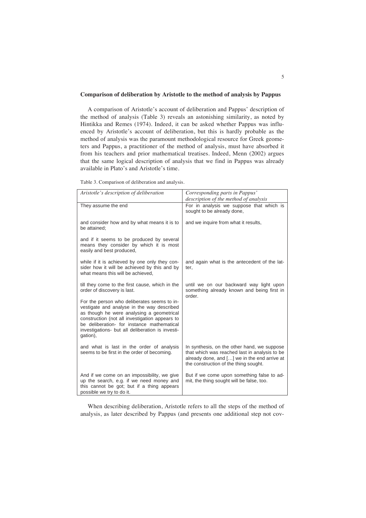### **Comparison of deliberation by Aristotle to the method of analysis by Pappus**

A comparison of Aristotle's account of deliberation and Pappus' description of the method of analysis (Table 3) reveals an astonishing similarity, as noted by Hintikka and Remes (1974). Indeed, it can be asked whether Pappus was influenced by Aristotle's account of deliberation, but this is hardly probable as the method of analysis was the paramount methodological resource for Greek geometers and Pappus, a practitioner of the method of analysis, must have absorbed it from his teachers and prior mathematical treatises. Indeed, Menn (2002) argues that the same logical description of analysis that we find in Pappus was already available in Plato's and Aristotle's time.

| Aristotle's description of deliberation                                                                                                                                                                                                                                                                | Corresponding parts in Pappus'                                                                                                                                                        |  |  |
|--------------------------------------------------------------------------------------------------------------------------------------------------------------------------------------------------------------------------------------------------------------------------------------------------------|---------------------------------------------------------------------------------------------------------------------------------------------------------------------------------------|--|--|
|                                                                                                                                                                                                                                                                                                        | description of the method of analysis                                                                                                                                                 |  |  |
| They assume the end                                                                                                                                                                                                                                                                                    | For in analysis we suppose that which is<br>sought to be already done,                                                                                                                |  |  |
| and consider how and by what means it is to<br>be attained:                                                                                                                                                                                                                                            | and we inquire from what it results,                                                                                                                                                  |  |  |
| and if it seems to be produced by several<br>means they consider by which it is most<br>easily and best produced,                                                                                                                                                                                      |                                                                                                                                                                                       |  |  |
| while if it is achieved by one only they con-<br>sider how it will be achieved by this and by<br>what means this will be achieved,                                                                                                                                                                     | and again what is the antecedent of the lat-<br>ter.                                                                                                                                  |  |  |
| till they come to the first cause, which in the<br>order of discovery is last.                                                                                                                                                                                                                         | until we on our backward way light upon<br>something already known and being first in<br>order.                                                                                       |  |  |
| For the person who deliberates seems to in-<br>vestigate and analyse in the way described<br>as though he were analysing a geometrical<br>construction (not all investigation appears to<br>be deliberation- for instance mathematical<br>investigations- but all deliberation is investi-<br>gation), |                                                                                                                                                                                       |  |  |
| and what is last in the order of analysis<br>seems to be first in the order of becoming.                                                                                                                                                                                                               | In synthesis, on the other hand, we suppose<br>that which was reached last in analysis to be<br>already done, and [] we in the end arrive at<br>the construction of the thing sought. |  |  |
| And if we come on an impossibility, we give<br>up the search, e.g. if we need money and<br>this cannot be got; but if a thing appears<br>possible we try to do it.                                                                                                                                     | But if we come upon something false to ad-<br>mit, the thing sought will be false, too.                                                                                               |  |  |

Table 3. Comparison of deliberation and analysis.

When describing deliberation, Aristotle refers to all the steps of the method of analysis, as later described by Pappus (and presents one additional step not cov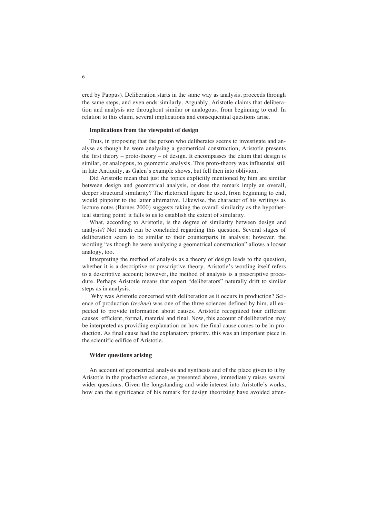ered by Pappus). Deliberation starts in the same way as analysis, proceeds through the same steps, and even ends similarly. Arguably, Aristotle claims that deliberation and analysis are throughout similar or analogous, from beginning to end. In relation to this claim, several implications and consequential questions arise.

### **Implications from the viewpoint of design**

Thus, in proposing that the person who deliberates seems to investigate and analyse as though he were analysing a geometrical construction, Aristotle presents the first theory – proto-theory – of design. It encompasses the claim that design is similar, or analogous, to geometric analysis. This proto-theory was influential still in late Antiquity, as Galen's example shows, but fell then into oblivion.

Did Aristotle mean that just the topics explicitly mentioned by him are similar between design and geometrical analysis, or does the remark imply an overall, deeper structural similarity? The rhetorical figure he used, from beginning to end, would pinpoint to the latter alternative. Likewise, the character of his writings as lecture notes (Barnes 2000) suggests taking the overall similarity as the hypothetical starting point: it falls to us to establish the extent of similarity.

What, according to Aristotle, is the degree of similarity between design and analysis? Not much can be concluded regarding this question. Several stages of deliberation seem to be similar to their counterparts in analysis; however, the wording "as though he were analysing a geometrical construction" allows a looser analogy, too.

Interpreting the method of analysis as a theory of design leads to the question, whether it is a descriptive or prescriptive theory. Aristotle's wording itself refers to a descriptive account; however, the method of analysis is a prescriptive procedure. Perhaps Aristotle means that expert "deliberators" naturally drift to similar steps as in analysis.

 Why was Aristotle concerned with deliberation as it occurs in production? Science of production (*techne*) was one of the three sciences defined by him, all expected to provide information about causes. Aristotle recognized four different causes: efficient, formal, material and final. Now, this account of deliberation may be interpreted as providing explanation on how the final cause comes to be in production. As final cause had the explanatory priority, this was an important piece in the scientific edifice of Aristotle.

### **Wider questions arising**

An account of geometrical analysis and synthesis and of the place given to it by Aristotle in the productive science, as presented above, immediately raises several wider questions. Given the longstanding and wide interest into Aristotle's works, how can the significance of his remark for design theorizing have avoided atten-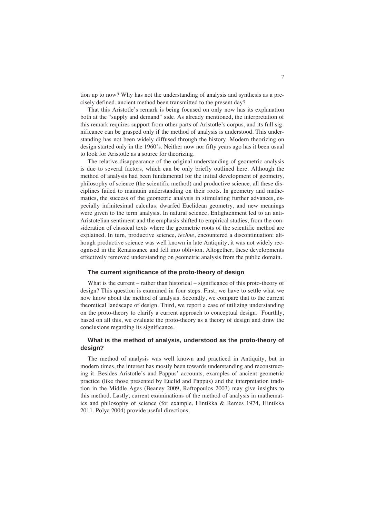tion up to now? Why has not the understanding of analysis and synthesis as a precisely defined, ancient method been transmitted to the present day?

That this Aristotle's remark is being focused on only now has its explanation both at the "supply and demand" side. As already mentioned, the interpretation of this remark requires support from other parts of Aristotle's corpus, and its full significance can be grasped only if the method of analysis is understood. This understanding has not been widely diffused through the history. Modern theorizing on design started only in the 1960's. Neither now nor fifty years ago has it been usual to look for Aristotle as a source for theorizing.

The relative disappearance of the original understanding of geometric analysis is due to several factors, which can be only briefly outlined here. Although the method of analysis had been fundamental for the initial development of geometry, philosophy of science (the scientific method) and productive science, all these disciplines failed to maintain understanding on their roots. In geometry and mathematics, the success of the geometric analysis in stimulating further advances, especially infinitesimal calculus, dwarfed Euclidean geometry, and new meanings were given to the term analysis. In natural science, Enlightenment led to an anti-Aristotelian sentiment and the emphasis shifted to empirical studies, from the consideration of classical texts where the geometric roots of the scientific method are explained. In turn, productive science, *techne*, encountered a discontinuation: although productive science was well known in late Antiquity, it was not widely recognised in the Renaissance and fell into oblivion. Altogether, these developments effectively removed understanding on geometric analysis from the public domain.

### **The current significance of the proto-theory of design**

What is the current – rather than historical – significance of this proto-theory of design? This question is examined in four steps. First, we have to settle what we now know about the method of analysis. Secondly, we compare that to the current theoretical landscape of design. Third, we report a case of utilizing understanding on the proto-theory to clarify a current approach to conceptual design. Fourthly, based on all this, we evaluate the proto-theory as a theory of design and draw the conclusions regarding its significance.

# **What is the method of analysis, understood as the proto-theory of design?**

The method of analysis was well known and practiced in Antiquity, but in modern times, the interest has mostly been towards understanding and reconstructing it. Besides Aristotle's and Pappus' accounts, examples of ancient geometric practice (like those presented by Euclid and Pappus) and the interpretation tradition in the Middle Ages (Beaney 2009, Raftopoulos 2003) may give insights to this method. Lastly, current examinations of the method of analysis in mathematics and philosophy of science (for example, Hintikka & Remes 1974, Hintikka 2011, Polya 2004) provide useful directions.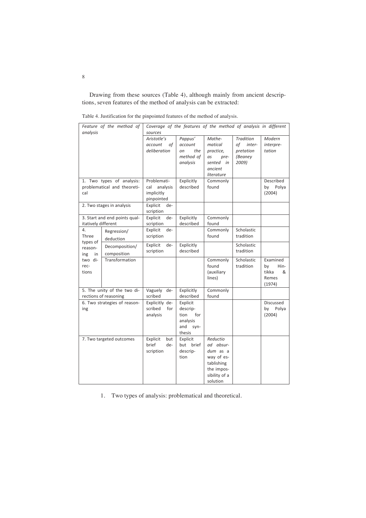Drawing from these sources (Table 4), although mainly from ancient descriptions, seven features of the method of analysis can be extracted:

Table 4. Justification for the pinpointed features of the method of analysis.

| analysis                      | Feature of the method of     | Coverage of the features of the method of analysis in different<br>sources |             |               |                  |                  |
|-------------------------------|------------------------------|----------------------------------------------------------------------------|-------------|---------------|------------------|------------------|
|                               |                              | Aristotle's                                                                | Pappus'     | Mathe-        | <b>Tradition</b> | Modern           |
|                               |                              | account<br>of                                                              | account     | matical       | of<br>inter-     | interpre-        |
|                               |                              | deliberation                                                               | on<br>the   | practice,     | pretation        | tation           |
|                               |                              |                                                                            | method of   | as<br>pre-    | (Beaney          |                  |
|                               |                              |                                                                            | analysis    | sented in     | 2009)            |                  |
|                               |                              |                                                                            |             | ancient       |                  |                  |
|                               |                              |                                                                            |             | literature    |                  |                  |
|                               | 1. Two types of analysis:    | Problemati-                                                                | Explicitly  | Commonly      |                  | Described        |
|                               | problematical and theoreti-  | cal<br>analysis                                                            | described   | found         |                  | Polya<br>by      |
| cal                           |                              | implicitly                                                                 |             |               |                  | (2004)           |
|                               |                              | pinpointed                                                                 |             |               |                  |                  |
|                               | 2. Two stages in analysis    | Explicit<br>de-                                                            |             |               |                  |                  |
|                               |                              | scription                                                                  |             |               |                  |                  |
| 3. Start and end points qual- |                              | Explicit<br>de-                                                            | Explicitly  | Commonly      |                  |                  |
| itatively different           |                              | scription                                                                  | described   | found         |                  |                  |
| 4.                            | Regression/                  | Explicit<br>de-                                                            |             | Commonly      | Scholastic       |                  |
| Three<br>types of             | deduction                    | scription                                                                  |             | found         | tradition        |                  |
| reason-                       | Decomposition/               | Explicit<br>de-                                                            | Explicitly  |               | Scholastic       |                  |
| in<br>ing                     | composition                  | scription                                                                  | described   |               | tradition        |                  |
| two di-                       | Transformation               |                                                                            |             | Commonly      | Scholastic       | Examined         |
| rec-                          |                              |                                                                            |             | found         | tradition        | Hin-<br>by       |
| tions                         |                              |                                                                            |             | (auxiliary    |                  | tikka<br>&       |
|                               |                              |                                                                            |             | lines)        |                  | Remes            |
|                               |                              |                                                                            |             |               |                  | (1974)           |
| 5. The unity of the two di-   |                              | Vaguely de-                                                                | Explicitly  | Commonly      |                  |                  |
|                               | rections of reasoning        | scribed                                                                    | described   | found         |                  |                  |
|                               | 6. Two strategies of reason- | Explicitly de-                                                             | Explicit    |               |                  | <b>Discussed</b> |
| ing                           |                              | scribed<br>for                                                             | descrip-    |               |                  | Polya<br>by      |
|                               |                              | analysis                                                                   | tion<br>for |               |                  | (2004)           |
|                               |                              |                                                                            | analysis    |               |                  |                  |
|                               |                              |                                                                            | and<br>syn- |               |                  |                  |
|                               |                              |                                                                            | thesis      |               |                  |                  |
| 7. Two targeted outcomes      |                              | Explicit<br>but                                                            | Explicit    | Reductio      |                  |                  |
|                               |                              | brief<br>de-                                                               | but brief   | ad absur-     |                  |                  |
|                               |                              | scription                                                                  | descrip-    | dum as a      |                  |                  |
|                               |                              |                                                                            | tion        | way of es-    |                  |                  |
|                               |                              |                                                                            |             | tablishing    |                  |                  |
|                               |                              |                                                                            |             | the impos-    |                  |                  |
|                               |                              |                                                                            |             | sibility of a |                  |                  |
|                               |                              |                                                                            |             | solution      |                  |                  |

1. Two types of analysis: problematical and theoretical.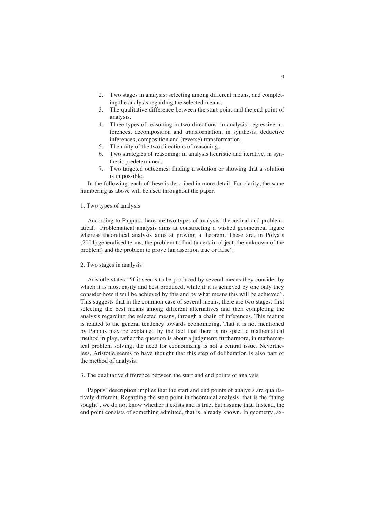- 2. Two stages in analysis: selecting among different means, and completing the analysis regarding the selected means.
- 3. The qualitative difference between the start point and the end point of analysis.
- 4. Three types of reasoning in two directions: in analysis, regressive inferences, decomposition and transformation; in synthesis, deductive inferences, composition and (reverse) transformation.
- 5. The unity of the two directions of reasoning.
- 6. Two strategies of reasoning: in analysis heuristic and iterative, in synthesis predetermined.
- 7. Two targeted outcomes: finding a solution or showing that a solution is impossible.

In the following, each of these is described in more detail. For clarity, the same numbering as above will be used throughout the paper.

# 1. Two types of analysis

According to Pappus, there are two types of analysis: theoretical and problematical. Problematical analysis aims at constructing a wished geometrical figure whereas theoretical analysis aims at proving a theorem. These are, in Polya's (2004) generalised terms, the problem to find (a certain object, the unknown of the problem) and the problem to prove (an assertion true or false).

#### 2. Two stages in analysis

Aristotle states: "if it seems to be produced by several means they consider by which it is most easily and best produced, while if it is achieved by one only they consider how it will be achieved by this and by what means this will be achieved". This suggests that in the common case of several means, there are two stages: first selecting the best means among different alternatives and then completing the analysis regarding the selected means, through a chain of inferences. This feature is related to the general tendency towards economizing. That it is not mentioned by Pappus may be explained by the fact that there is no specific mathematical method in play, rather the question is about a judgment; furthermore, in mathematical problem solving, the need for economizing is not a central issue. Nevertheless, Aristotle seems to have thought that this step of deliberation is also part of the method of analysis.

### 3. The qualitative difference between the start and end points of analysis

Pappus' description implies that the start and end points of analysis are qualitatively different. Regarding the start point in theoretical analysis, that is the "thing sought", we do not know whether it exists and is true, but assume that. Instead, the end point consists of something admitted, that is, already known. In geometry, ax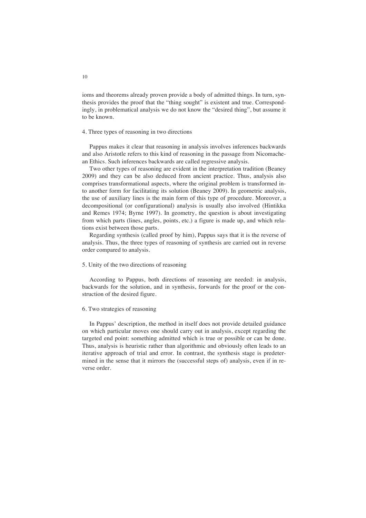ioms and theorems already proven provide a body of admitted things. In turn, synthesis provides the proof that the "thing sought" is existent and true. Correspondingly, in problematical analysis we do not know the "desired thing", but assume it to be known.

#### 4. Three types of reasoning in two directions

Pappus makes it clear that reasoning in analysis involves inferences backwards and also Aristotle refers to this kind of reasoning in the passage from Nicomachean Ethics. Such inferences backwards are called regressive analysis.

Two other types of reasoning are evident in the interpretation tradition (Beaney 2009) and they can be also deduced from ancient practice. Thus, analysis also comprises transformational aspects, where the original problem is transformed into another form for facilitating its solution (Beaney 2009). In geometric analysis, the use of auxiliary lines is the main form of this type of procedure. Moreover, a decompositional (or configurational) analysis is usually also involved (Hintikka and Remes 1974; Byrne 1997). In geometry, the question is about investigating from which parts (lines, angles, points, etc.) a figure is made up, and which relations exist between those parts.

Regarding synthesis (called proof by him), Pappus says that it is the reverse of analysis. Thus, the three types of reasoning of synthesis are carried out in reverse order compared to analysis.

### 5. Unity of the two directions of reasoning

According to Pappus, both directions of reasoning are needed: in analysis, backwards for the solution, and in synthesis, forwards for the proof or the construction of the desired figure.

### 6. Two strategies of reasoning

In Pappus' description, the method in itself does not provide detailed guidance on which particular moves one should carry out in analysis, except regarding the targeted end point: something admitted which is true or possible or can be done. Thus, analysis is heuristic rather than algorithmic and obviously often leads to an iterative approach of trial and error. In contrast, the synthesis stage is predetermined in the sense that it mirrors the (successful steps of) analysis, even if in reverse order.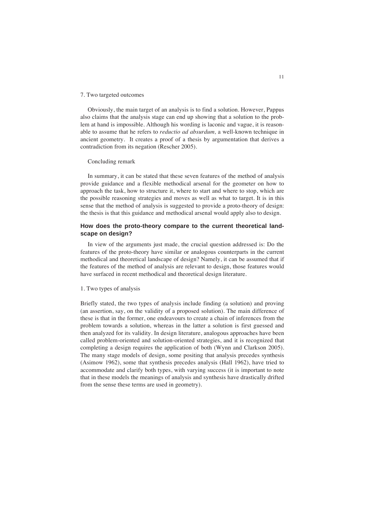### 7. Two targeted outcomes

Obviously, the main target of an analysis is to find a solution. However, Pappus also claims that the analysis stage can end up showing that a solution to the problem at hand is impossible. Although his wording is laconic and vague, it is reasonable to assume that he refers to *reductio ad absurdum,* a well-known technique in ancient geometry. It creates a proof of a thesis by argumentation that derives a contradiction from its negation (Rescher 2005).

## Concluding remark

In summary, it can be stated that these seven features of the method of analysis provide guidance and a flexible methodical arsenal for the geometer on how to approach the task, how to structure it, where to start and where to stop, which are the possible reasoning strategies and moves as well as what to target. It is in this sense that the method of analysis is suggested to provide a proto-theory of design: the thesis is that this guidance and methodical arsenal would apply also to design.

# **How does the proto-theory compare to the current theoretical landscape on design?**

In view of the arguments just made, the crucial question addressed is: Do the features of the proto-theory have similar or analogous counterparts in the current methodical and theoretical landscape of design? Namely, it can be assumed that if the features of the method of analysis are relevant to design, those features would have surfaced in recent methodical and theoretical design literature.

### 1. Two types of analysis

Briefly stated, the two types of analysis include finding (a solution) and proving (an assertion, say, on the validity of a proposed solution). The main difference of these is that in the former, one endeavours to create a chain of inferences from the problem towards a solution, whereas in the latter a solution is first guessed and then analyzed for its validity. In design literature, analogous approaches have been called problem-oriented and solution-oriented strategies, and it is recognized that completing a design requires the application of both (Wynn and Clarkson 2005). The many stage models of design, some positing that analysis precedes synthesis (Asimow 1962), some that synthesis precedes analysis (Hall 1962), have tried to accommodate and clarify both types, with varying success (it is important to note that in these models the meanings of analysis and synthesis have drastically drifted from the sense these terms are used in geometry).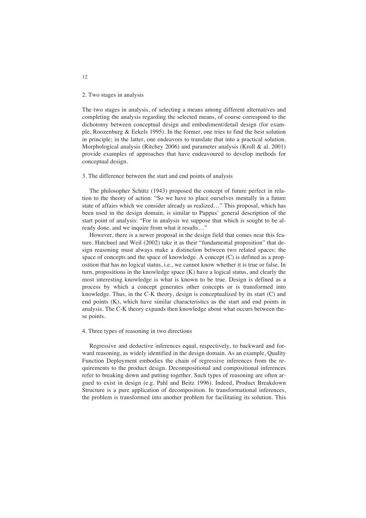### 2. Two stages in analysis

The two stages in analysis, of selecting a means among different alternatives and completing the analysis regarding the selected means, of course correspond to the dichotomy between conceptual design and embodiment/detail design (for example, Roozenburg & Eekels 1995). In the former, one tries to find the best solution in principle; in the latter, one endeavors to translate that into a practical solution. Morphological analysis (Ritchey 2006) and parameter analysis (Kroll & al. 2001) provide examples of approaches that have endeavoured to develop methods for conceptual design.

### 3. The difference between the start and end points of analysis

The philosopher Schütz (1943) proposed the concept of future perfect in relation to the theory of action: "So we have to place ourselves mentally in a future state of affairs which we consider already as realized…" This proposal, which has been used in the design domain, is similar to Pappus' general description of the start point of analysis: "For in analysis we suppose that which is sought to be already done, and we inquire from what it results…"

However, there is a newer proposal in the design field that comes near this feature. Hatchuel and Weil (2002) take it as their "fundamental proposition" that design reasoning must always make a distinction between two related spaces: the space of concepts and the space of knowledge. A concept (C) is defined as a proposition that has no logical status, i.e., we cannot know whether it is true or false. In turn, propositions in the knowledge space (K) have a logical status, and clearly the most interesting knowledge is what is known to be true. Design is defined as a process by which a concept generates other concepts or is transformed into knowledge. Thus, in the C-K theory, design is conceptualized by its start (C) and end points (K), which have similar characteristics as the start and end points in analysis. The C-K theory expands then knowledge about what occurs between these points.

### 4. Three types of reasoning in two directions

Regressive and deductive inferences equal, respectively, to backward and forward reasoning, as widely identified in the design domain. As an example, Quality Function Deployment embodies the chain of regressive inferences from the requirements to the product design. Decompositional and compositional inferences refer to breaking down and putting together. Such types of reasoning are often argued to exist in design (e.g. Pahl and Beitz 1996). Indeed, Product Breakdown Structure is a pure application of decomposition. In transformational inferences, the problem is transformed into another problem for facilitating its solution. This

12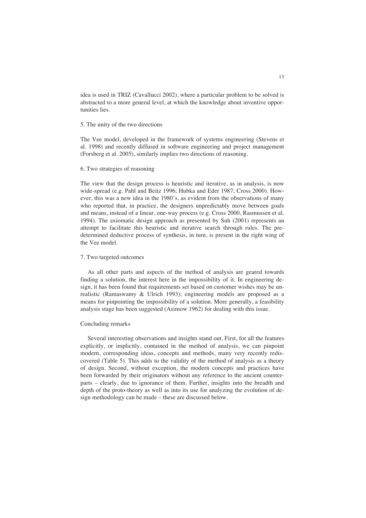idea is used in TRIZ (Cavallucci 2002), where a particular problem to be solved is abstracted to a more general level, at which the knowledge about inventive opportunities lies.

# 5. The unity of the two directions

The Vee model, developed in the framework of systems engineering (Stevens et al. 1998) and recently diffused in software engineering and project management (Forsberg et al. 2005), similarly implies two directions of reasoning.

### 6. Two strategies of reasoning

The view that the design process is heuristic and iterative, as in analysis, is now wide-spread (e.g. Pahl and Beitz 1996; Hubka and Eder 1987; Cross 2000). However, this was a new idea in the 1980´s, as evident from the observations of many who reported that, in practice, the designers unpredictably move between goals and means, instead of a linear, one-way process (e.g. Cross 2000, Rasmussen et al. 1994). The axiomatic design approach as presented by Suh (2001) represents an attempt to facilitate this heuristic and iterative search through rules. The predetermined deductive process of synthesis, in turn, is present in the right wing of the Vee model.

### 7. Two targeted outcomes

As all other parts and aspects of the method of analysis are geared towards finding a solution, the interest here in the impossibility of it. In engineering design, it has been found that requirements set based on customer wishes may be unrealistic (Ramaswamy & Ulrich 1993); engineering models are proposed as a means for pinpointing the impossibility of a solution. More generally, a feasibility analysis stage has been suggested (Asimow 1962) for dealing with this issue.

### Concluding remarks

Several interesting observations and insights stand out. First, for all the features explicitly, or implicitly, contained in the method of analysis, we can pinpoint modern, corresponding ideas, concepts and methods, many very recently rediscovered (Table 5). This adds to the validity of the method of analysis as a theory of design. Second, without exception, the modern concepts and practices have been forwarded by their originators without any reference to the ancient counterparts – clearly, due to ignorance of them. Further, insights into the breadth and depth of the proto-theory as well as into its use for analyzing the evolution of design methodology can be made – these are discussed below.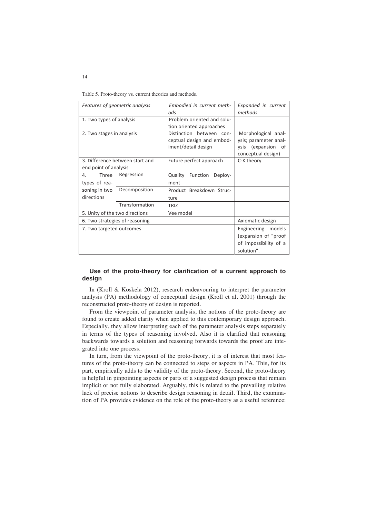Table 5. Proto-theory vs. current theories and methods.

| Features of geometric analysis                           |                | Embodied in current meth-<br>ods                                             | Expanded in current<br>methods                                                                 |
|----------------------------------------------------------|----------------|------------------------------------------------------------------------------|------------------------------------------------------------------------------------------------|
| 1. Two types of analysis                                 |                | Problem oriented and solu-<br>tion oriented approaches                       |                                                                                                |
| 2. Two stages in analysis                                |                | Distinction between con-<br>ceptual design and embod-<br>iment/detail design | Morphological anal-<br>ysis; parameter anal-<br>(expansion<br>ysis<br>of<br>conceptual design) |
| 3. Difference between start and<br>end point of analysis |                | Future perfect approach                                                      | C-K theory                                                                                     |
| Three<br>4.<br>types of rea-                             | Regression     | Function<br>Quality<br>Deploy-<br>ment                                       |                                                                                                |
| soning in two<br>directions                              | Decomposition  | Product Breakdown Struc-<br>ture                                             |                                                                                                |
|                                                          | Transformation | TRIZ                                                                         |                                                                                                |
| 5. Unity of the two directions                           |                | Vee model                                                                    |                                                                                                |
| 6. Two strategies of reasoning                           |                |                                                                              | Axiomatic design                                                                               |
| 7. Two targeted outcomes                                 |                |                                                                              | Engineering<br>models<br>(expansion of "proof<br>of impossibility of a<br>solution".           |

# **Use of the proto-theory for clarification of a current approach to design**

In (Kroll & Koskela 2012), research endeavouring to interpret the parameter analysis (PA) methodology of conceptual design (Kroll et al. 2001) through the reconstructed proto-theory of design is reported.

From the viewpoint of parameter analysis, the notions of the proto-theory are found to create added clarity when applied to this contemporary design approach. Especially, they allow interpreting each of the parameter analysis steps separately in terms of the types of reasoning involved. Also it is clarified that reasoning backwards towards a solution and reasoning forwards towards the proof are integrated into one process.

In turn, from the viewpoint of the proto-theory, it is of interest that most features of the proto-theory can be connected to steps or aspects in PA. This, for its part, empirically adds to the validity of the proto-theory. Second, the proto-theory is helpful in pinpointing aspects or parts of a suggested design process that remain implicit or not fully elaborated. Arguably, this is related to the prevailing relative lack of precise notions to describe design reasoning in detail. Third, the examination of PA provides evidence on the role of the proto-theory as a useful reference:

14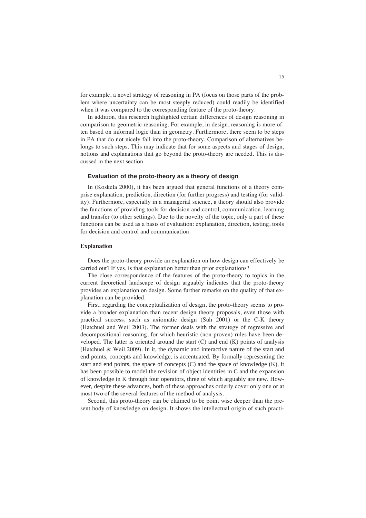for example, a novel strategy of reasoning in PA (focus on those parts of the problem where uncertainty can be most steeply reduced) could readily be identified when it was compared to the corresponding feature of the proto-theory.

In addition, this research highlighted certain differences of design reasoning in comparison to geometric reasoning. For example, in design, reasoning is more often based on informal logic than in geometry. Furthermore, there seem to be steps in PA that do not nicely fall into the proto-theory. Comparison of alternatives belongs to such steps. This may indicate that for some aspects and stages of design, notions and explanations that go beyond the proto-theory are needed. This is discussed in the next section.

# **Evaluation of the proto-theory as a theory of design**

In (Koskela 2000), it has been argued that general functions of a theory comprise explanation, prediction, direction (for further progress) and testing (for validity). Furthermore, especially in a managerial science, a theory should also provide the functions of providing tools for decision and control, communication, learning and transfer (to other settings). Due to the novelty of the topic, only a part of these functions can be used as a basis of evaluation: explanation, direction, testing, tools for decision and control and communication.

### **Explanation**

Does the proto-theory provide an explanation on how design can effectively be carried out? If yes, is that explanation better than prior explanations?

The close correspondence of the features of the proto-theory to topics in the current theoretical landscape of design arguably indicates that the proto-theory provides an explanation on design. Some further remarks on the quality of that explanation can be provided.

First, regarding the conceptualization of design, the proto-theory seems to provide a broader explanation than recent design theory proposals, even those with practical success, such as axiomatic design (Suh 2001) or the C-K theory (Hatchuel and Weil 2003). The former deals with the strategy of regressive and decompositional reasoning, for which heuristic (non-proven) rules have been developed. The latter is oriented around the start  $(C)$  and end  $(K)$  points of analysis (Hatchuel & Weil 2009). In it, the dynamic and interactive nature of the start and end points, concepts and knowledge, is accentuated. By formally representing the start and end points, the space of concepts  $(C)$  and the space of knowledge  $(K)$ , it has been possible to model the revision of object identities in C and the expansion of knowledge in K through four operators, three of which arguably are new. However, despite these advances, both of these approaches orderly cover only one or at most two of the several features of the method of analysis.

Second, this proto-theory can be claimed to be point wise deeper than the present body of knowledge on design. It shows the intellectual origin of such practi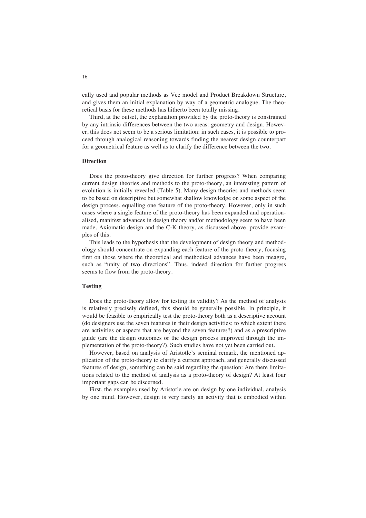cally used and popular methods as Vee model and Product Breakdown Structure, and gives them an initial explanation by way of a geometric analogue. The theoretical basis for these methods has hitherto been totally missing.

Third, at the outset, the explanation provided by the proto-theory is constrained by any intrinsic differences between the two areas: geometry and design. However, this does not seem to be a serious limitation: in such cases, it is possible to proceed through analogical reasoning towards finding the nearest design counterpart for a geometrical feature as well as to clarify the difference between the two.

### **Direction**

Does the proto-theory give direction for further progress? When comparing current design theories and methods to the proto-theory, an interesting pattern of evolution is initially revealed (Table 5). Many design theories and methods seem to be based on descriptive but somewhat shallow knowledge on some aspect of the design process, equalling one feature of the proto-theory. However, only in such cases where a single feature of the proto-theory has been expanded and operationalised, manifest advances in design theory and/or methodology seem to have been made. Axiomatic design and the C-K theory, as discussed above, provide examples of this.

This leads to the hypothesis that the development of design theory and methodology should concentrate on expanding each feature of the proto-theory, focusing first on those where the theoretical and methodical advances have been meagre, such as "unity of two directions". Thus, indeed direction for further progress seems to flow from the proto-theory.

### **Testing**

Does the proto-theory allow for testing its validity? As the method of analysis is relatively precisely defined, this should be generally possible. In principle, it would be feasible to empirically test the proto-theory both as a descriptive account (do designers use the seven features in their design activities; to which extent there are activities or aspects that are beyond the seven features?) and as a prescriptive guide (are the design outcomes or the design process improved through the implementation of the proto-theory?). Such studies have not yet been carried out.

However, based on analysis of Aristotle's seminal remark, the mentioned application of the proto-theory to clarify a current approach, and generally discussed features of design, something can be said regarding the question: Are there limitations related to the method of analysis as a proto-theory of design? At least four important gaps can be discerned.

First, the examples used by Aristotle are on design by one individual, analysis by one mind. However, design is very rarely an activity that is embodied within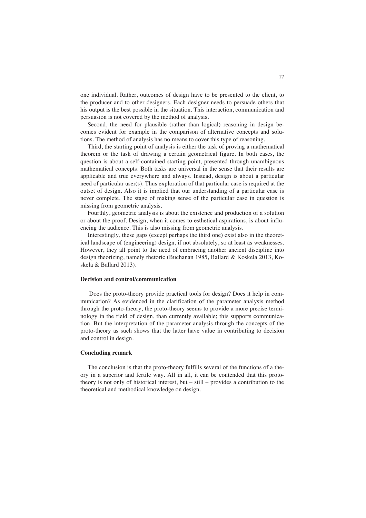one individual. Rather, outcomes of design have to be presented to the client, to the producer and to other designers. Each designer needs to persuade others that his output is the best possible in the situation. This interaction, communication and persuasion is not covered by the method of analysis.

Second, the need for plausible (rather than logical) reasoning in design becomes evident for example in the comparison of alternative concepts and solutions. The method of analysis has no means to cover this type of reasoning.

Third, the starting point of analysis is either the task of proving a mathematical theorem or the task of drawing a certain geometrical figure. In both cases, the question is about a self-contained starting point, presented through unambiguous mathematical concepts. Both tasks are universal in the sense that their results are applicable and true everywhere and always. Instead, design is about a particular need of particular user(s). Thus exploration of that particular case is required at the outset of design. Also it is implied that our understanding of a particular case is never complete. The stage of making sense of the particular case in question is missing from geometric analysis.

Fourthly, geometric analysis is about the existence and production of a solution or about the proof. Design, when it comes to esthetical aspirations, is about influencing the audience. This is also missing from geometric analysis.

Interestingly, these gaps (except perhaps the third one) exist also in the theoretical landscape of (engineering) design, if not absolutely, so at least as weaknesses. However, they all point to the need of embracing another ancient discipline into design theorizing, namely rhetoric (Buchanan 1985, Ballard & Koskela 2013, Koskela & Ballard 2013).

### **Decision and control/communication**

 Does the proto-theory provide practical tools for design? Does it help in communication? As evidenced in the clarification of the parameter analysis method through the proto-theory, the proto-theory seems to provide a more precise terminology in the field of design, than currently available; this supports communication. But the interpretation of the parameter analysis through the concepts of the proto-theory as such shows that the latter have value in contributing to decision and control in design.

## **Concluding remark**

The conclusion is that the proto-theory fulfills several of the functions of a theory in a superior and fertile way. All in all, it can be contended that this prototheory is not only of historical interest, but – still – provides a contribution to the theoretical and methodical knowledge on design.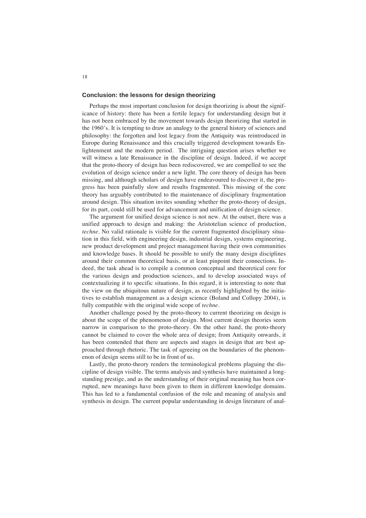#### **Conclusion: the lessons for design theorizing**

Perhaps the most important conclusion for design theorizing is about the significance of history: there has been a fertile legacy for understanding design but it has not been embraced by the movement towards design theorizing that started in the 1960's. It is tempting to draw an analogy to the general history of sciences and philosophy: the forgotten and lost legacy from the Antiquity was reintroduced in Europe during Renaissance and this crucially triggered development towards Enlightenment and the modern period. The intriguing question arises whether we will witness a late Renaissance in the discipline of design. Indeed, if we accept that the proto-theory of design has been rediscovered, we are compelled to see the evolution of design science under a new light. The core theory of design has been missing, and although scholars of design have endeavoured to discover it, the progress has been painfully slow and results fragmented. This missing of the core theory has arguably contributed to the maintenance of disciplinary fragmentation around design. This situation invites sounding whether the proto-theory of design, for its part, could still be used for advancement and unification of design science.

The argument for unified design science is not new. At the outset, there was a unified approach to design and making: the Aristotelian science of production, *techne*. No valid rationale is visible for the current fragmented disciplinary situation in this field, with engineering design, industrial design, systems engineering, new product development and project management having their own communities and knowledge bases. It should be possible to unify the many design disciplines around their common theoretical basis, or at least pinpoint their connections. Indeed, the task ahead is to compile a common conceptual and theoretical core for the various design and production sciences, and to develop associated ways of contextualizing it to specific situations. In this regard, it is interesting to note that the view on the ubiquitous nature of design, as recently highlighted by the initiatives to establish management as a design science (Boland and Collopy 2004), is fully compatible with the original wide scope of *techne*.

Another challenge posed by the proto-theory to current theorizing on design is about the scope of the phenomenon of design. Most current design theories seem narrow in comparison to the proto-theory. On the other hand, the proto-theory cannot be claimed to cover the whole area of design; from Antiquity onwards, it has been contended that there are aspects and stages in design that are best approached through rhetoric. The task of agreeing on the boundaries of the phenomenon of design seems still to be in front of us.

Lastly, the proto-theory renders the terminological problems plaguing the discipline of design visible. The terms analysis and synthesis have maintained a longstanding prestige, and as the understanding of their original meaning has been corrupted, new meanings have been given to them in different knowledge domains. This has led to a fundamental confusion of the role and meaning of analysis and synthesis in design. The current popular understanding in design literature of anal-

18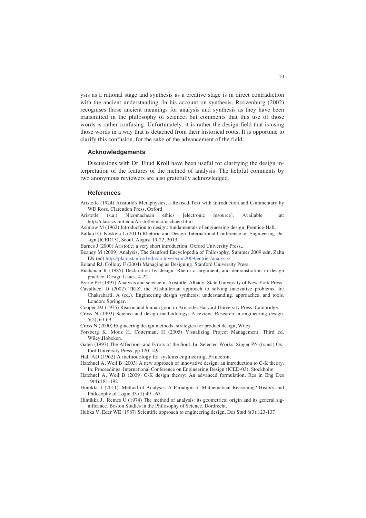ysis as a rational stage and synthesis as a creative stage is in direct contradiction with the ancient understanding. In his account on synthesis, Roozenburg (2002) recognises those ancient meanings for analysis and synthesis as they have been transmitted in the philosophy of science, but comments that this use of those words is rather confusing. Unfortunately, it is rather the design field that is using those words in a way that is detached from their historical roots. It is opportune to clarify this confusion, for the sake of the advancement of the field.

### **Acknowledgements**

Discussions with Dr. Ehud Kroll have been useful for clarifying the design interpretation of the features of the method of analysis. The helpful comments by two anonymous reviewers are also gratefully acknowledged.

#### **References**

- Aristotle (1924) Aristotle's Metaphysics, a Revised Text with Introduction and Commentary by WD Ross. Clarendon Press, Oxford.
- Aristotle (s.a.) Nicomachean ethics [electronic resource]. Available at: http://classics.mit.edu/Aristotle/nicomachaen.html.
- Asimow M (1962) Introduction to design: fundamentals of engineering design, Prentice-Hall.
- Ballard G, Koskela L (2013) Rhetoric and Design. International Conference on Engineering Design (ICED13), Seoul, August 19-22, 2013.

Barnes J (2000) Aristotle: a very short introduction. Oxford University Press,.

Beaney M (2009) Analysis, The Stanford Encyclopedia of Philosophy, Summer 2009 edn, Zalta EN (ed) http://plato.stanford.edu/archives/sum2009/entries/analysis/

Boland RJ, Collopy F (2004) Managing as Designing. Stanford University Press.

- Buchanan R (1985) Declaration by design: Rhetoric, argument, and demonstration in design practice. Design Issues, 4-22.
- Byrne PH (1997) Analysis and science in Aristotle. Albany: State University of New York Press
- Cavallucci D (2002) TRIZ, the Altshullerian approach to solving innovative problems. In: Chakrabarti, A (ed.), Engineering design synthesis: understanding, approaches, and tools. London: Springer.
- Cooper JM (1975) Reason and human good in Aristotle. Harvard University Press. Cambridge.
- Cross N (1993) Science and design methodology: A review. Research in engineering design, 5(2), 63-69.
- Cross N (2000) Engineering design methods: strategies for product design, Wiley
- Forsberg K, Mooz H, Cotterman, H (2005) Visualizing Project Management. Third ed. Wiley,Hoboken.
- Galen (1997) The Affections and Errors of the Soul. In: Selected Works. Singer PN (transl) Oxford University Press, pp 120-149.
- Hall AD (1962) A methodology for systems engineering. Princeton.
- Hatchuel A, Weil B (2003) A new approach of innovative design: an introduction to C-K theory. In: Proceedings. International Conference on Engineering Design (ICED-03), Stockholm
- Hatchuel A, Weil B (2009) C-K design theory: An advanced formulation. Res in Eng Des 19(4):181-192
- Hintikka J (2011). Method of Analysis: A Paradigm of Mathematical Reasoning? History and Philosophy of Logic 33 (1):49 - 67.
- Hintikka J, Remes U (1974) The method of analysis: its geometrical origin and its general significance. Boston Studies in the Philosophy of Science. Dordrecht.
- Hubka V, Eder WE (1987) Scientific approach to engineering design. Des Stud 8(3):123-137